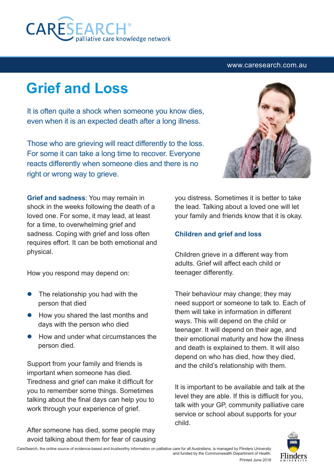

#### www.caresearch.com.au

# **Grief and Loss**

It is often quite a shock when someone you know dies, even when it is an expected death after a long illness.

Those who are grieving will react differently to the loss. For some it can take a long time to recover. Everyone reacts differently when someone dies and there is no right or wrong way to grieve.

**Grief and sadness**: You may remain in shock in the weeks following the death of a loved one. For some, it may lead, at least for a time, to overwhelming grief and sadness. Coping with grief and loss often requires effort. It can be both emotional and physical.

How you respond may depend on:

- The relationship you had with the person that died
- How you shared the last months and days with the person who died
- l How and under what circumstances the person died.

Support from your family and friends is important when someone has died. Tiredness and grief can make it difficult for you to remember some things. Sometimes talking about the final days can help you to work through your experience of grief.

After someone has died, some people may avoid talking about them for fear of causing



you distress. Sometimes it is better to take the lead. Talking about a loved one will let your family and friends know that it is okay.

### **Children and grief and loss**

Children grieve in a different way from adults. Grief will affect each child or teenager differently.

Their behaviour may change; they may need support or someone to talk to. Each of them will take in information in different ways. This will depend on the child or teenager. It will depend on their age, and their emotional maturity and how the illness and death is explained to them. It will also depend on who has died, how they died, and the child's relationship with them.

It is important to be available and talk at the level they are able. If this is diffiuclt for you, talk with your GP, community palliative care service or school about supports for your child.